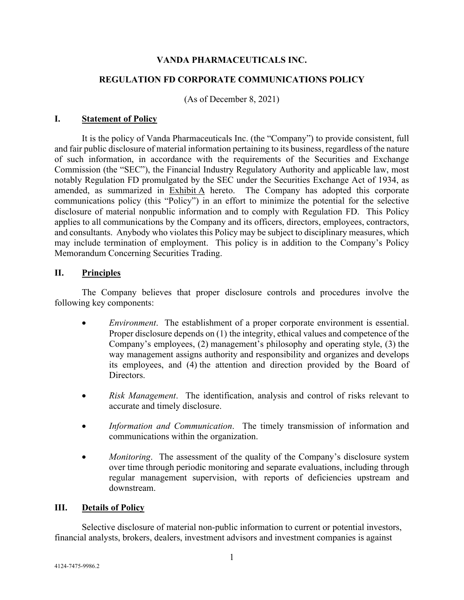# **VANDA PHARMACEUTICALS INC.**

# **REGULATION FD CORPORATE COMMUNICATIONS POLICY**

(As of December 8, 2021)

# **I. Statement of Policy**

It is the policy of Vanda Pharmaceuticals Inc. (the "Company") to provide consistent, full and fair public disclosure of material information pertaining to its business, regardless of the nature of such information, in accordance with the requirements of the Securities and Exchange Commission (the "SEC"), the Financial Industry Regulatory Authority and applicable law, most notably Regulation FD promulgated by the SEC under the Securities Exchange Act of 1934, as amended, as summarized in Exhibit A hereto. The Company has adopted this corporate communications policy (this "Policy") in an effort to minimize the potential for the selective disclosure of material nonpublic information and to comply with Regulation FD. This Policy applies to all communications by the Company and its officers, directors, employees, contractors, and consultants. Anybody who violates this Policy may be subject to disciplinary measures, which may include termination of employment. This policy is in addition to the Company's Policy Memorandum Concerning Securities Trading.

# **II. Principles**

The Company believes that proper disclosure controls and procedures involve the following key components:

- *Environment*. The establishment of a proper corporate environment is essential. Proper disclosure depends on (1) the integrity, ethical values and competence of the Company's employees, (2) management's philosophy and operating style, (3) the way management assigns authority and responsibility and organizes and develops its employees, and (4) the attention and direction provided by the Board of Directors.
- *Risk Management*. The identification, analysis and control of risks relevant to accurate and timely disclosure.
- *Information and Communication*. The timely transmission of information and communications within the organization.
- *Monitoring*. The assessment of the quality of the Company's disclosure system over time through periodic monitoring and separate evaluations, including through regular management supervision, with reports of deficiencies upstream and downstream.

# **III. Details of Policy**

Selective disclosure of material non-public information to current or potential investors, financial analysts, brokers, dealers, investment advisors and investment companies is against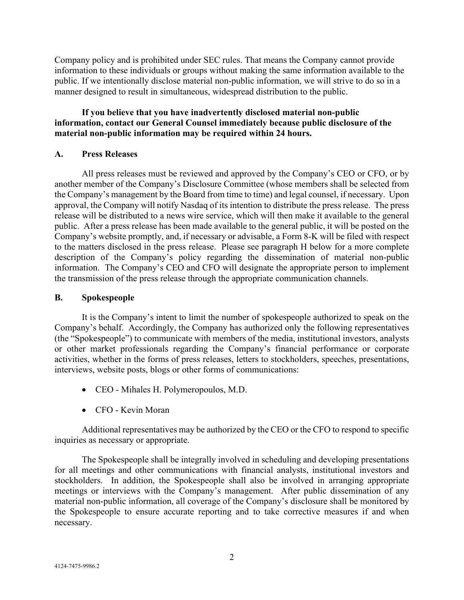Company policy and is prohibited under SEC rules. That means the Company cannot provide information to these individuals or groups without making the same information available to the public. If we intentionally disclose material non-public information, we will strive to do so in a manner designed to result in simultaneous, widespread distribution to the public.

# **If you believe that you have inadvertently disclosed material non-public information, contact our General Counsel immediately because public disclosure of the material non-public information may be required within 24 hours.**

# **A. Press Releases**

All press releases must be reviewed and approved by the Company's CEO or CFO, or by another member of the Company's Disclosure Committee (whose members shall be selected from the Company's management by the Board from time to time) and legal counsel, if necessary. Upon approval, the Company will notify Nasdaq of its intention to distribute the press release. The press release will be distributed to a news wire service, which will then make it available to the general public. After a press release has been made available to the general public, it will be posted on the Company's website promptly, and, if necessary or advisable, a Form 8-K will be filed with respect to the matters disclosed in the press release. Please see paragraph H below for a more complete description of the Company's policy regarding the dissemination of material non-public information. The Company's CEO and CFO will designate the appropriate person to implement the transmission of the press release through the appropriate communication channels.

### **B. Spokespeople**

It is the Company's intent to limit the number of spokespeople authorized to speak on the Company's behalf. Accordingly, the Company has authorized only the following representatives (the "Spokespeople") to communicate with members of the media, institutional investors, analysts or other market professionals regarding the Company's financial performance or corporate activities, whether in the forms of press releases, letters to stockholders, speeches, presentations, interviews, website posts, blogs or other forms of communications:

- CEO Mihales H. Polymeropoulos, M.D.
- CFO Kevin Moran

Additional representatives may be authorized by the CEO or the CFO to respond to specific inquiries as necessary or appropriate.

The Spokespeople shall be integrally involved in scheduling and developing presentations for all meetings and other communications with financial analysts, institutional investors and stockholders. In addition, the Spokespeople shall also be involved in arranging appropriate meetings or interviews with the Company's management. After public dissemination of any material non-public information, all coverage of the Company's disclosure shall be monitored by the Spokespeople to ensure accurate reporting and to take corrective measures if and when necessary.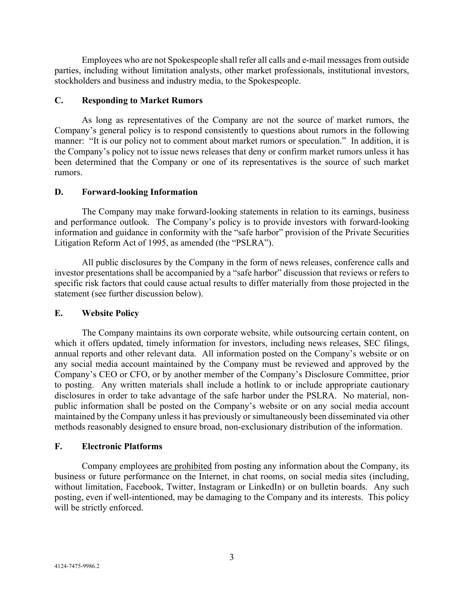Employees who are not Spokespeople shall refer all calls and e-mail messages from outside parties, including without limitation analysts, other market professionals, institutional investors, stockholders and business and industry media, to the Spokespeople.

# **C. Responding to Market Rumors**

As long as representatives of the Company are not the source of market rumors, the Company's general policy is to respond consistently to questions about rumors in the following manner: "It is our policy not to comment about market rumors or speculation." In addition, it is the Company's policy not to issue news releases that deny or confirm market rumors unless it has been determined that the Company or one of its representatives is the source of such market rumors.

# **D. Forward-looking Information**

The Company may make forward-looking statements in relation to its earnings, business and performance outlook. The Company's policy is to provide investors with forward-looking information and guidance in conformity with the "safe harbor" provision of the Private Securities Litigation Reform Act of 1995, as amended (the "PSLRA").

All public disclosures by the Company in the form of news releases, conference calls and investor presentations shall be accompanied by a "safe harbor" discussion that reviews or refers to specific risk factors that could cause actual results to differ materially from those projected in the statement (see further discussion below).

# **E. Website Policy**

The Company maintains its own corporate website, while outsourcing certain content, on which it offers updated, timely information for investors, including news releases, SEC filings, annual reports and other relevant data. All information posted on the Company's website or on any social media account maintained by the Company must be reviewed and approved by the Company's CEO or CFO, or by another member of the Company's Disclosure Committee, prior to posting. Any written materials shall include a hotlink to or include appropriate cautionary disclosures in order to take advantage of the safe harbor under the PSLRA. No material, nonpublic information shall be posted on the Company's website or on any social media account maintained by the Company unless it has previously or simultaneously been disseminated via other methods reasonably designed to ensure broad, non-exclusionary distribution of the information.

# **F. Electronic Platforms**

Company employees are prohibited from posting any information about the Company, its business or future performance on the Internet, in chat rooms, on social media sites (including, without limitation, Facebook, Twitter, Instagram or LinkedIn) or on bulletin boards. Any such posting, even if well-intentioned, may be damaging to the Company and its interests. This policy will be strictly enforced.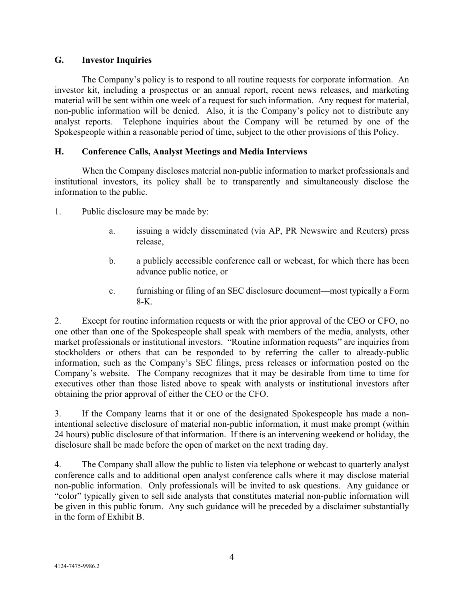# **G. Investor Inquiries**

The Company's policy is to respond to all routine requests for corporate information. An investor kit, including a prospectus or an annual report, recent news releases, and marketing material will be sent within one week of a request for such information. Any request for material, non-public information will be denied. Also, it is the Company's policy not to distribute any analyst reports. Telephone inquiries about the Company will be returned by one of the Spokespeople within a reasonable period of time, subject to the other provisions of this Policy.

# **H. Conference Calls, Analyst Meetings and Media Interviews**

When the Company discloses material non-public information to market professionals and institutional investors, its policy shall be to transparently and simultaneously disclose the information to the public.

- 1. Public disclosure may be made by:
	- a. issuing a widely disseminated (via AP, PR Newswire and Reuters) press release,
	- b. a publicly accessible conference call or webcast, for which there has been advance public notice, or
	- c. furnishing or filing of an SEC disclosure document—most typically a Form 8-K.

2. Except for routine information requests or with the prior approval of the CEO or CFO, no one other than one of the Spokespeople shall speak with members of the media, analysts, other market professionals or institutional investors. "Routine information requests" are inquiries from stockholders or others that can be responded to by referring the caller to already-public information, such as the Company's SEC filings, press releases or information posted on the Company's website. The Company recognizes that it may be desirable from time to time for executives other than those listed above to speak with analysts or institutional investors after obtaining the prior approval of either the CEO or the CFO.

3. If the Company learns that it or one of the designated Spokespeople has made a nonintentional selective disclosure of material non-public information, it must make prompt (within 24 hours) public disclosure of that information. If there is an intervening weekend or holiday, the disclosure shall be made before the open of market on the next trading day.

4. The Company shall allow the public to listen via telephone or webcast to quarterly analyst conference calls and to additional open analyst conference calls where it may disclose material non-public information. Only professionals will be invited to ask questions. Any guidance or "color" typically given to sell side analysts that constitutes material non-public information will be given in this public forum. Any such guidance will be preceded by a disclaimer substantially in the form of Exhibit B.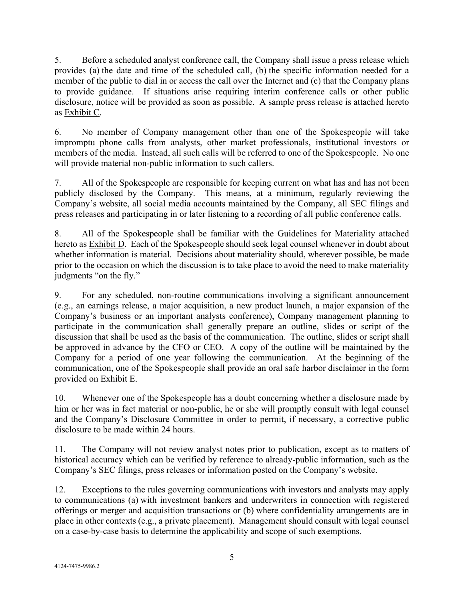5. Before a scheduled analyst conference call, the Company shall issue a press release which provides (a) the date and time of the scheduled call, (b) the specific information needed for a member of the public to dial in or access the call over the Internet and (c) that the Company plans to provide guidance. If situations arise requiring interim conference calls or other public disclosure, notice will be provided as soon as possible. A sample press release is attached hereto as Exhibit C.

6. No member of Company management other than one of the Spokespeople will take impromptu phone calls from analysts, other market professionals, institutional investors or members of the media. Instead, all such calls will be referred to one of the Spokespeople. No one will provide material non-public information to such callers.

7. All of the Spokespeople are responsible for keeping current on what has and has not been publicly disclosed by the Company. This means, at a minimum, regularly reviewing the Company's website, all social media accounts maintained by the Company, all SEC filings and press releases and participating in or later listening to a recording of all public conference calls.

8. All of the Spokespeople shall be familiar with the Guidelines for Materiality attached hereto as Exhibit D. Each of the Spokespeople should seek legal counsel whenever in doubt about whether information is material. Decisions about materiality should, wherever possible, be made prior to the occasion on which the discussion is to take place to avoid the need to make materiality judgments "on the fly."

9. For any scheduled, non-routine communications involving a significant announcement (e.g., an earnings release, a major acquisition, a new product launch, a major expansion of the Company's business or an important analysts conference), Company management planning to participate in the communication shall generally prepare an outline, slides or script of the discussion that shall be used as the basis of the communication. The outline, slides or script shall be approved in advance by the CFO or CEO. A copy of the outline will be maintained by the Company for a period of one year following the communication. At the beginning of the communication, one of the Spokespeople shall provide an oral safe harbor disclaimer in the form provided on Exhibit E.

10. Whenever one of the Spokespeople has a doubt concerning whether a disclosure made by him or her was in fact material or non-public, he or she will promptly consult with legal counsel and the Company's Disclosure Committee in order to permit, if necessary, a corrective public disclosure to be made within 24 hours.

11. The Company will not review analyst notes prior to publication, except as to matters of historical accuracy which can be verified by reference to already-public information, such as the Company's SEC filings, press releases or information posted on the Company's website.

12. Exceptions to the rules governing communications with investors and analysts may apply to communications (a) with investment bankers and underwriters in connection with registered offerings or merger and acquisition transactions or (b) where confidentiality arrangements are in place in other contexts (e.g., a private placement). Management should consult with legal counsel on a case-by-case basis to determine the applicability and scope of such exemptions.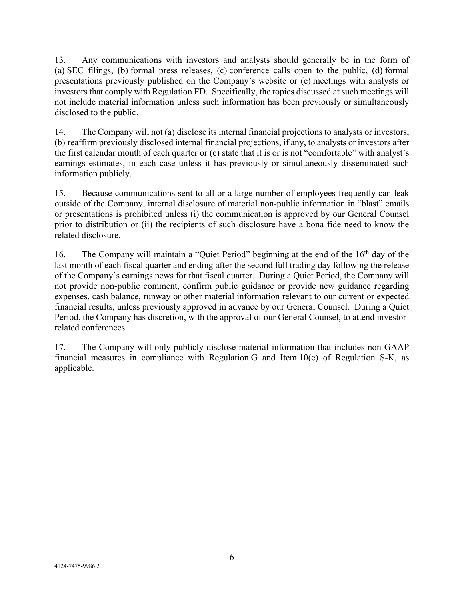13. Any communications with investors and analysts should generally be in the form of (a) SEC filings, (b) formal press releases, (c) conference calls open to the public, (d) formal presentations previously published on the Company's website or (e) meetings with analysts or investors that comply with Regulation FD. Specifically, the topics discussed at such meetings will not include material information unless such information has been previously or simultaneously disclosed to the public.

14. The Company will not (a) disclose its internal financial projections to analysts or investors, (b) reaffirm previously disclosed internal financial projections, if any, to analysts or investors after the first calendar month of each quarter or (c) state that it is or is not "comfortable" with analyst's earnings estimates, in each case unless it has previously or simultaneously disseminated such information publicly.

15. Because communications sent to all or a large number of employees frequently can leak outside of the Company, internal disclosure of material non-public information in "blast" emails or presentations is prohibited unless (i) the communication is approved by our General Counsel prior to distribution or (ii) the recipients of such disclosure have a bona fide need to know the related disclosure.

16. The Company will maintain a "Quiet Period" beginning at the end of the 16<sup>th</sup> day of the last month of each fiscal quarter and ending after the second full trading day following the release of the Company's earnings news for that fiscal quarter. During a Quiet Period, the Company will not provide non-public comment, confirm public guidance or provide new guidance regarding expenses, cash balance, runway or other material information relevant to our current or expected financial results, unless previously approved in advance by our General Counsel. During a Quiet Period, the Company has discretion, with the approval of our General Counsel, to attend investorrelated conferences.

17. The Company will only publicly disclose material information that includes non-GAAP financial measures in compliance with Regulation G and Item 10(e) of Regulation S-K, as applicable.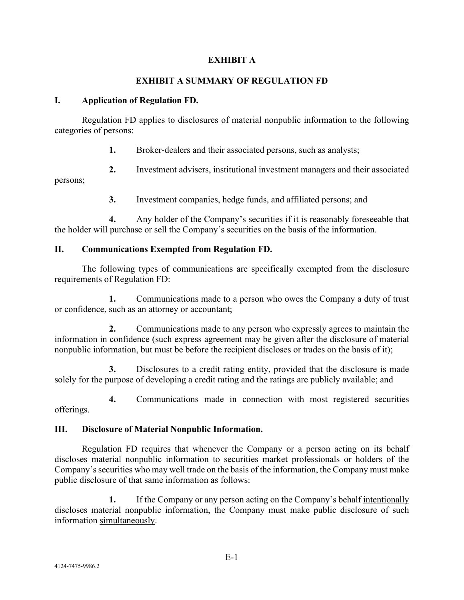# **EXHIBIT A**

# **EXHIBIT A SUMMARY OF REGULATION FD**

### **I. Application of Regulation FD.**

Regulation FD applies to disclosures of material nonpublic information to the following categories of persons:

**1.** Broker-dealers and their associated persons, such as analysts;

**2.** Investment advisers, institutional investment managers and their associated

persons;

**3.** Investment companies, hedge funds, and affiliated persons; and

**4.** Any holder of the Company's securities if it is reasonably foreseeable that the holder will purchase or sell the Company's securities on the basis of the information.

# **II. Communications Exempted from Regulation FD.**

The following types of communications are specifically exempted from the disclosure requirements of Regulation FD:

**1.** Communications made to a person who owes the Company a duty of trust or confidence, such as an attorney or accountant;

**2.** Communications made to any person who expressly agrees to maintain the information in confidence (such express agreement may be given after the disclosure of material nonpublic information, but must be before the recipient discloses or trades on the basis of it);

**3.** Disclosures to a credit rating entity, provided that the disclosure is made solely for the purpose of developing a credit rating and the ratings are publicly available; and

**4.** Communications made in connection with most registered securities offerings.

# **III. Disclosure of Material Nonpublic Information.**

Regulation FD requires that whenever the Company or a person acting on its behalf discloses material nonpublic information to securities market professionals or holders of the Company's securities who may well trade on the basis of the information, the Company must make public disclosure of that same information as follows:

**1.** If the Company or any person acting on the Company's behalf intentionally discloses material nonpublic information, the Company must make public disclosure of such information simultaneously.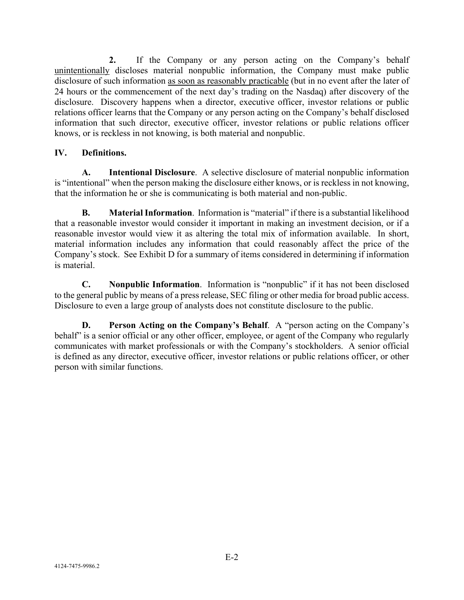**2.** If the Company or any person acting on the Company's behalf unintentionally discloses material nonpublic information, the Company must make public disclosure of such information as soon as reasonably practicable (but in no event after the later of 24 hours or the commencement of the next day's trading on the Nasdaq) after discovery of the disclosure. Discovery happens when a director, executive officer, investor relations or public relations officer learns that the Company or any person acting on the Company's behalf disclosed information that such director, executive officer, investor relations or public relations officer knows, or is reckless in not knowing, is both material and nonpublic.

# **IV. Definitions.**

**A. Intentional Disclosure**. A selective disclosure of material nonpublic information is "intentional" when the person making the disclosure either knows, or is reckless in not knowing, that the information he or she is communicating is both material and non-public.

**B. Material Information**. Information is "material" if there is a substantial likelihood that a reasonable investor would consider it important in making an investment decision, or if a reasonable investor would view it as altering the total mix of information available. In short, material information includes any information that could reasonably affect the price of the Company's stock. See Exhibit D for a summary of items considered in determining if information is material.

**C. Nonpublic Information**. Information is "nonpublic" if it has not been disclosed to the general public by means of a press release, SEC filing or other media for broad public access. Disclosure to even a large group of analysts does not constitute disclosure to the public.

**D. Person Acting on the Company's Behalf**. A "person acting on the Company's behalf" is a senior official or any other officer, employee, or agent of the Company who regularly communicates with market professionals or with the Company's stockholders. A senior official is defined as any director, executive officer, investor relations or public relations officer, or other person with similar functions.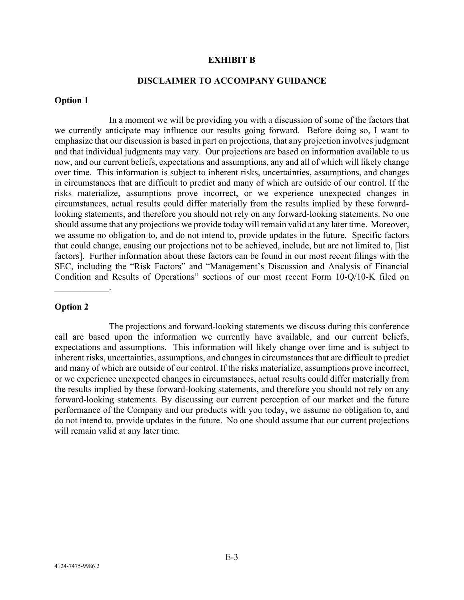#### **EXHIBIT B**

# **DISCLAIMER TO ACCOMPANY GUIDANCE**

#### **Option 1**

In a moment we will be providing you with a discussion of some of the factors that we currently anticipate may influence our results going forward. Before doing so, I want to emphasize that our discussion is based in part on projections, that any projection involves judgment and that individual judgments may vary. Our projections are based on information available to us now, and our current beliefs, expectations and assumptions, any and all of which will likely change over time. This information is subject to inherent risks, uncertainties, assumptions, and changes in circumstances that are difficult to predict and many of which are outside of our control. If the risks materialize, assumptions prove incorrect, or we experience unexpected changes in circumstances, actual results could differ materially from the results implied by these forwardlooking statements, and therefore you should not rely on any forward-looking statements. No one should assume that any projections we provide today will remain valid at any later time. Moreover, we assume no obligation to, and do not intend to, provide updates in the future. Specific factors that could change, causing our projections not to be achieved, include, but are not limited to, [list factors]. Further information about these factors can be found in our most recent filings with the SEC, including the "Risk Factors" and "Management's Discussion and Analysis of Financial Condition and Results of Operations" sections of our most recent Form 10-Q/10-K filed on

#### **Option 2**

 $\overline{\phantom{a}}$ 

The projections and forward-looking statements we discuss during this conference call are based upon the information we currently have available, and our current beliefs, expectations and assumptions. This information will likely change over time and is subject to inherent risks, uncertainties, assumptions, and changes in circumstances that are difficult to predict and many of which are outside of our control. If the risks materialize, assumptions prove incorrect, or we experience unexpected changes in circumstances, actual results could differ materially from the results implied by these forward-looking statements, and therefore you should not rely on any forward-looking statements. By discussing our current perception of our market and the future performance of the Company and our products with you today, we assume no obligation to, and do not intend to, provide updates in the future. No one should assume that our current projections will remain valid at any later time.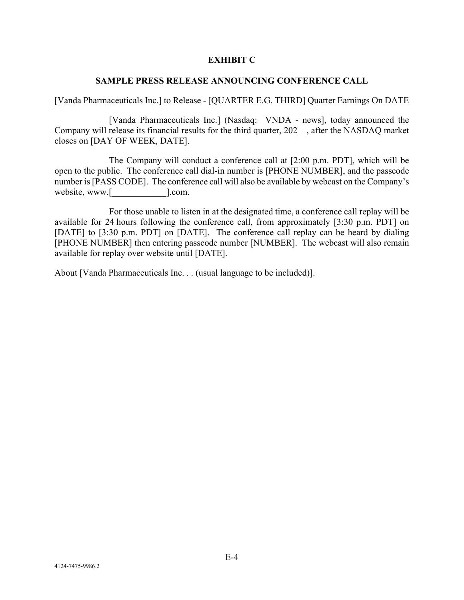### **EXHIBIT C**

### **SAMPLE PRESS RELEASE ANNOUNCING CONFERENCE CALL**

[Vanda Pharmaceuticals Inc.] to Release - [QUARTER E.G. THIRD] Quarter Earnings On DATE

[Vanda Pharmaceuticals Inc.] (Nasdaq: VNDA - news], today announced the Company will release its financial results for the third quarter, 202\_\_, after the NASDAQ market closes on [DAY OF WEEK, DATE].

The Company will conduct a conference call at [2:00 p.m. PDT], which will be open to the public. The conference call dial-in number is [PHONE NUMBER], and the passcode number is [PASS CODE]. The conference call will also be available by webcast on the Company's website, www.[  $\qquad \qquad$  ].com.

For those unable to listen in at the designated time, a conference call replay will be available for 24 hours following the conference call, from approximately [3:30 p.m. PDT] on [DATE] to [3:30 p.m. PDT] on [DATE]. The conference call replay can be heard by dialing [PHONE NUMBER] then entering passcode number [NUMBER]. The webcast will also remain available for replay over website until [DATE].

About [Vanda Pharmaceuticals Inc. . . (usual language to be included)].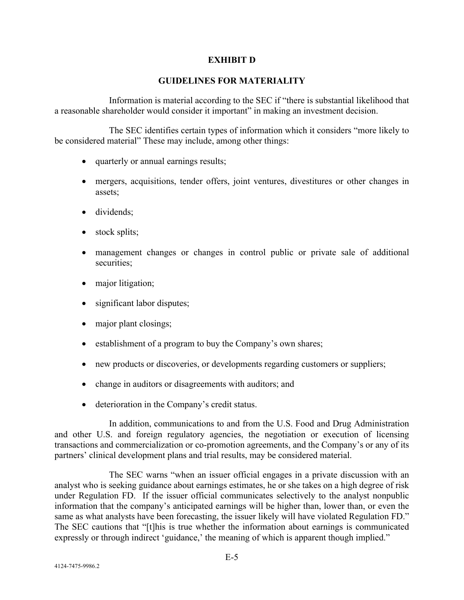## **EXHIBIT D**

### **GUIDELINES FOR MATERIALITY**

Information is material according to the SEC if "there is substantial likelihood that a reasonable shareholder would consider it important" in making an investment decision.

The SEC identifies certain types of information which it considers "more likely to be considered material" These may include, among other things:

- quarterly or annual earnings results;
- mergers, acquisitions, tender offers, joint ventures, divestitures or other changes in assets;
- dividends;
- stock splits;
- management changes or changes in control public or private sale of additional securities;
- major litigation;
- significant labor disputes;
- major plant closings;
- establishment of a program to buy the Company's own shares;
- new products or discoveries, or developments regarding customers or suppliers;
- change in auditors or disagreements with auditors; and
- deterioration in the Company's credit status.

In addition, communications to and from the U.S. Food and Drug Administration and other U.S. and foreign regulatory agencies, the negotiation or execution of licensing transactions and commercialization or co-promotion agreements, and the Company's or any of its partners' clinical development plans and trial results, may be considered material.

The SEC warns "when an issuer official engages in a private discussion with an analyst who is seeking guidance about earnings estimates, he or she takes on a high degree of risk under Regulation FD. If the issuer official communicates selectively to the analyst nonpublic information that the company's anticipated earnings will be higher than, lower than, or even the same as what analysts have been forecasting, the issuer likely will have violated Regulation FD." The SEC cautions that "[t]his is true whether the information about earnings is communicated expressly or through indirect 'guidance,' the meaning of which is apparent though implied."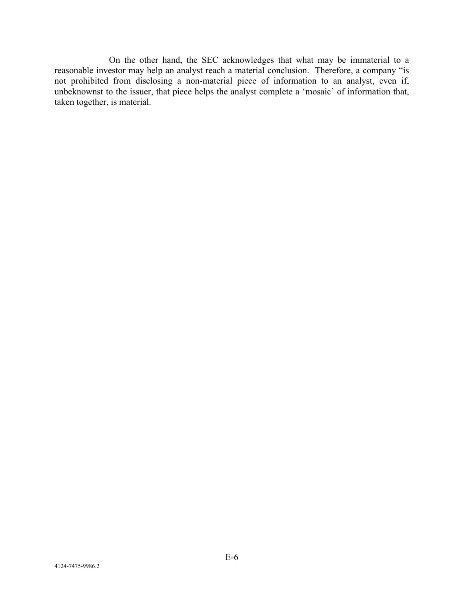On the other hand, the SEC acknowledges that what may be immaterial to a reasonable investor may help an analyst reach a material conclusion. Therefore, a company "is not prohibited from disclosing a non-material piece of information to an analyst, even if, unbeknownst to the issuer, that piece helps the analyst complete a 'mosaic' of information that, taken together, is material.